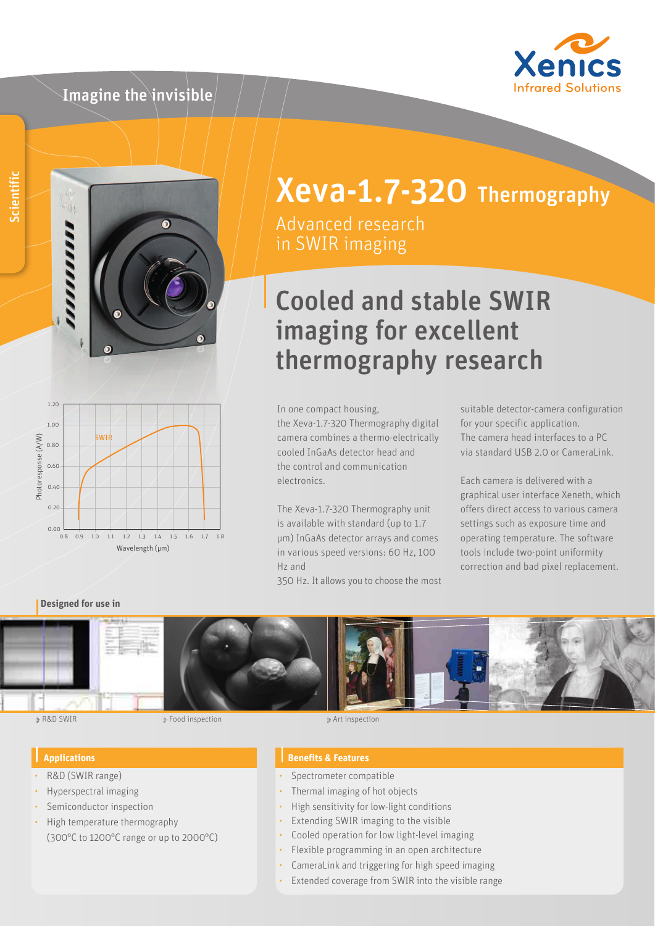### Imagine the invisible





#### 1.20 1.00 SWIR Photoresponse (A/W) Photoresponse (A/W) 0.80 0.60 0.40 0.20 0.00 0.8 0.9 1.0 1.1 1.2 1.3 1.4 1.5 1.6 1.7 1.8 Wavelength (µm)

# Xeva-1.7-320 Thermography

Advanced research in SWIR imaging

## Cooled and stable SWIR imaging for excellent thermography research

In one compact housing, the Xeva-1.7-320 Thermography digital camera combines a thermo-electrically cooled InGaAs detector head and the control and communication electronics.

The Xeva-1.7-320 Thermography unit is available with standard (up to 1.7 μm) InGaAs detector arrays and comes in various speed versions: 60 Hz, 100 Hz and

350 Hz. It allows you to choose the most

suitable detector-camera configuration for your specific application. The camera head interfaces to a PC via standard USB 2.0 or CameraLink.

Each camera is delivered with a graphical user interface Xeneth, which offers direct access to various camera settings such as exposure time and operating temperature. The software tools include two-point uniformity correction and bad pixel replacement.

#### **Designed for use in**



ii- R&D SWIR Food inspection in the set of the set of the set of the set of the set of the set of the set of the set of the set of the set of the set of the set of the set of the set of the set of the set of the set of the

#### **Applications**

- R&D (SWIR range)
- Hyperspectral imaging
- Semiconductor inspection
- High temperature thermography (300°C to 1200°C range or up to 2000°C)

#### **Benefits & Features**

- Spectrometer compatible
- Thermal imaging of hot objects
- High sensitivity for low-light conditions
- Extending SWIR imaging to the visible
- Cooled operation for low light-level imaging
- Flexible programming in an open architecture
- CameraLink and triggering for high speed imaging
- Extended coverage from SWIR into the visible range